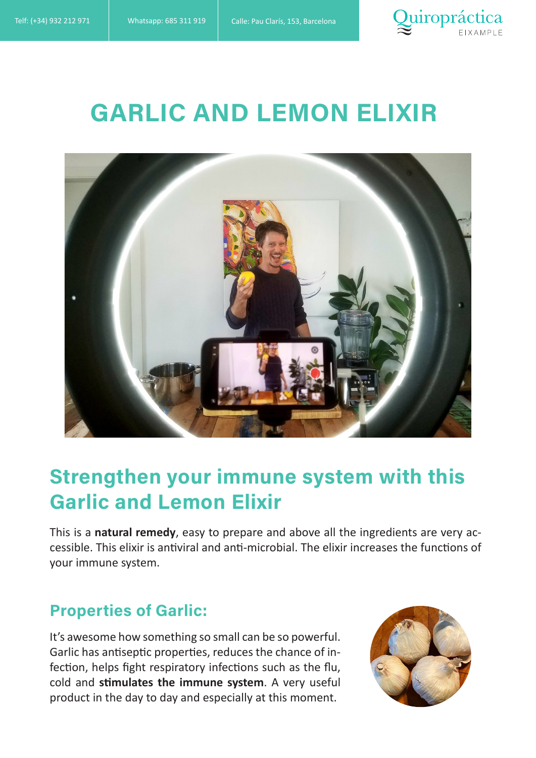

# GARLIC AND LEMON ELIXIR



## Strengthen your immune system with this Garlic and Lemon Elixir

This is a **natural remedy**, easy to prepare and above all the ingredients are very accessible. This elixir is antiviral and anti-microbial. The elixir increases the functions of your immune system.

#### Properties of Garlic:

It's awesome how something so small can be so powerful. Garlic has antiseptic properties, reduces the chance of infection, helps fight respiratory infections such as the flu, cold and **stimulates the immune system**. A very useful product in the day to day and especially at this moment.